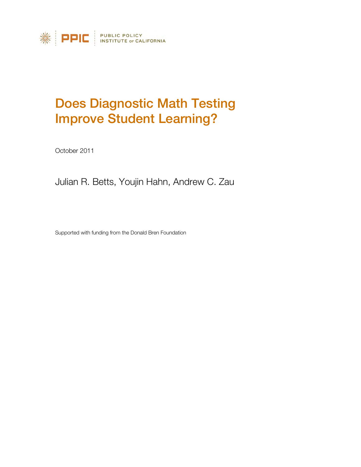

# Does Diagnostic Math Testing Improve Student Learning?

October 2011

Julian R. Betts, Youjin Hahn, Andrew C. Zau

Supported with funding from the Donald Bren Foundation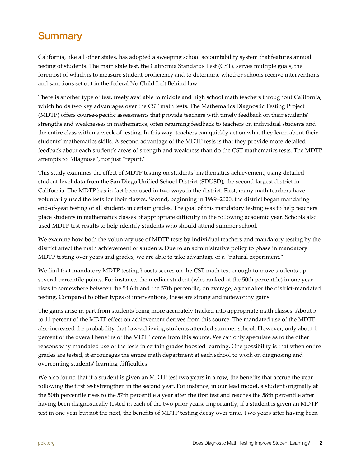## <span id="page-1-0"></span>**Summary**

California, like all other states, has adopted a sweeping school accountability system that features annual testing of students. The main state test, the California Standards Test (CST), serves multiple goals, the foremost of which is to measure student proficiency and to determine whether schools receive interventions and sanctions set out in the federal No Child Left Behind law.

There is another type of test, freely available to middle and high school math teachers throughout California, which holds two key advantages over the CST math tests. The Mathematics Diagnostic Testing Project (MDTP) offers course-specific assessments that provide teachers with timely feedback on their students' strengths and weaknesses in mathematics, often returning feedback to teachers on individual students and the entire class within a week of testing. In this way, teachers can quickly act on what they learn about their students' mathematics skills. A second advantage of the MDTP tests is that they provide more detailed feedback about each student's areas of strength and weakness than do the CST mathematics tests. The MDTP attempts to "diagnose", not just "report."

This study examines the effect of MDTP testing on students' mathematics achievement, using detailed student-level data from the San Diego Unified School District (SDUSD), the second largest district in California. The MDTP has in fact been used in two ways in the district. First, many math teachers have voluntarily used the tests for their classes. Second, beginning in 1999–2000, the district began mandating end-of-year testing of all students in certain grades. The goal of this mandatory testing was to help teachers place students in mathematics classes of appropriate difficulty in the following academic year. Schools also used MDTP test results to help identify students who should attend summer school.

We examine how both the voluntary use of MDTP tests by individual teachers and mandatory testing by the district affect the math achievement of students. Due to an administrative policy to phase in mandatory MDTP testing over years and grades, we are able to take advantage of a "natural experiment."

We find that mandatory MDTP testing boosts scores on the CST math test enough to move students up several percentile points. For instance, the median student (who ranked at the 50th percentile) in one year rises to somewhere between the 54.6th and the 57th percentile, on average, a year after the district-mandated testing. Compared to other types of interventions, these are strong and noteworthy gains.

The gains arise in part from students being more accurately tracked into appropriate math classes. About 5 to 11 percent of the MDTP effect on achievement derives from this source. The mandated use of the MDTP also increased the probability that low-achieving students attended summer school. However, only about 1 percent of the overall benefits of the MDTP come from this source. We can only speculate as to the other reasons why mandated use of the tests in certain grades boosted learning. One possibility is that when entire grades are tested, it encourages the entire math department at each school to work on diagnosing and overcoming students' learning difficulties.

We also found that if a student is given an MDTP test two years in a row, the benefits that accrue the year following the first test strengthen in the second year. For instance, in our lead model, a student originally at the 50th percentile rises to the 57th percentile a year after the first test and reaches the 58th percentile after having been diagnostically tested in each of the two prior years. Importantly, if a student is given an MDTP test in one year but not the next, the benefits of MDTP testing decay over time. Two years after having been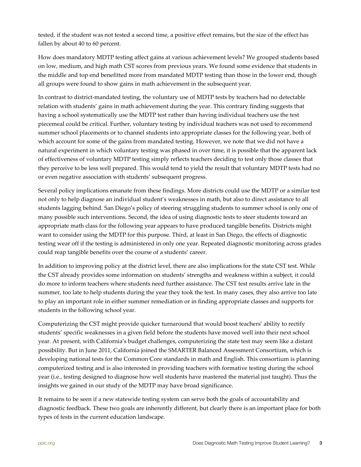tested, if the student was not tested a second time, a positive effect remains, but the size of the effect has fallen by about 40 to 60 percent.

How does mandatory MDTP testing affect gains at various achievement levels? We grouped students based on low, medium, and high math CST scores from previous years. We found some evidence that students in the middle and top end benefitted more from mandated MDTP testing than those in the lower end, though all groups were found to show gains in math achievement in the subsequent year.

In contrast to district-mandated testing, the voluntary use of MDTP tests by teachers had no detectable relation with students' gains in math achievement during the year. This contrary finding suggests that having a school systematically use the MDTP test rather than having individual teachers use the test piecemeal could be critical. Further, voluntary testing by individual teachers was not used to recommend summer school placements or to channel students into appropriate classes for the following year, both of which account for some of the gains from mandated testing. However, we note that we did not have a natural experiment in which voluntary testing was phased in over time, it is possible that the apparent lack of effectiveness of voluntary MDTP testing simply reflects teachers deciding to test only those classes that they perceive to be less well prepared. This would tend to yield the result that voluntary MDTP tests had no or even negative association with students' subsequent progress.

Several policy implications emanate from these findings. More districts could use the MDTP or a similar test not only to help diagnose an individual student's weaknesses in math, but also to direct assistance to all students lagging behind. San Diego's policy of steering struggling students to summer school is only one of many possible such interventions. Second, the idea of using diagnostic tests to steer students toward an appropriate math class for the following year appears to have produced tangible benefits. Districts might want to consider using the MDTP for this purpose. Third, at least in San Diego, the effects of diagnostic testing wear off if the testing is administered in only one year. Repeated diagnostic monitoring across grades could reap tangible benefits over the course of a students' career.

In addition to improving policy at the district level, there are also implications for the state CST test. While the CST already provides some information on students' strengths and weakness within a subject, it could do more to inform teachers where students need further assistance. The CST test results arrive late in the summer, too late to help students during the year they took the test. In many cases, they also arrive too late to play an important role in either summer remediation or in finding appropriate classes and supports for students in the following school year.

Computerizing the CST might provide quicker turnaround that would boost teachers' ability to rectify students' specific weaknesses in a given field before the students have moved well into their next school year. At present, with California's budget challenges, computerizing the state test may seem like a distant possibility. But in June 2011, California joined the SMARTER Balanced Assessment Consortium, which is developing national tests for the Common Core standards in math and English. This consortium is planning computerized testing and is also interested in providing teachers with formative testing during the school year (i.e., testing designed to diagnose how well students have mastered the material just taught). Thus the insights we gained in our study of the MDTP may have broad significance.

It remains to be seen if a new statewide testing system can serve both the goals of accountability and diagnostic feedback. These two goals are inherently different, but clearly there is an important place for both types of tests in the current education landscape.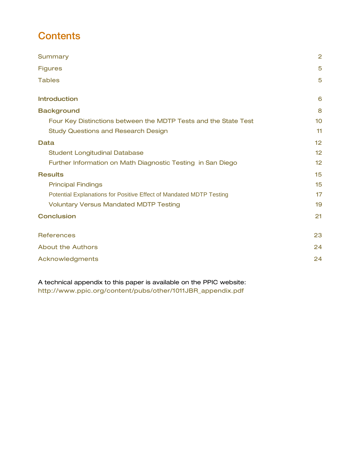## **Contents**

| Summary                                                             | $\overline{2}$ |
|---------------------------------------------------------------------|----------------|
| <b>Figures</b>                                                      | 5              |
| <b>Tables</b>                                                       | 5              |
| <b>Introduction</b>                                                 | 6              |
| <b>Background</b>                                                   | 8              |
| Four Key Distinctions between the MDTP Tests and the State Test     | 10             |
| <b>Study Questions and Research Design</b>                          | 11             |
| <b>Data</b>                                                         | 12             |
| <b>Student Longitudinal Database</b>                                | 12             |
| Further Information on Math Diagnostic Testing in San Diego         | 12             |
| <b>Results</b>                                                      | 15             |
| <b>Principal Findings</b>                                           | 15             |
| Potential Explanations for Positive Effect of Mandated MDTP Testing | 17             |
| <b>Voluntary Versus Mandated MDTP Testing</b>                       | 19             |
| <b>Conclusion</b>                                                   | 21             |
| <b>References</b>                                                   | 23             |
| <b>About the Authors</b>                                            | 24             |
| Acknowledgments                                                     | 24             |
|                                                                     |                |

A technical appendix to this paper is available on the PPIC website: [http://www.ppic.org/content/pubs/other/1011JBR\\_appendix.pdf](http://www.ppic.org/content/pubs/other/1011JBR_appendix.pdf)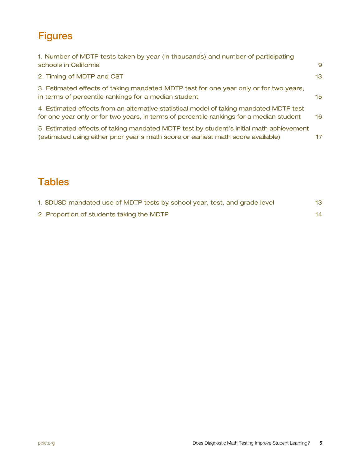## <span id="page-4-0"></span>**Figures**

| 1. Number of MDTP tests taken by year (in thousands) and number of participating<br>schools in California                                                                           | 9               |
|-------------------------------------------------------------------------------------------------------------------------------------------------------------------------------------|-----------------|
| 2. Timing of MDTP and CST                                                                                                                                                           | 13              |
| 3. Estimated effects of taking mandated MDTP test for one year only or for two years,<br>in terms of percentile rankings for a median student                                       | 15 <sub>1</sub> |
| 4. Estimated effects from an alternative statistical model of taking mandated MDTP test<br>for one year only or for two years, in terms of percentile rankings for a median student | 16              |
| 5. Estimated effects of taking mandated MDTP test by student's initial math achievement<br>(estimated using either prior year's math score or earliest math score available)        | 17              |

## <span id="page-4-1"></span>**Tables**

| 1. SDUSD mandated use of MDTP tests by school year, test, and grade level | 13 <sup>°</sup> |
|---------------------------------------------------------------------------|-----------------|
| 2. Proportion of students taking the MDTP                                 | 14.             |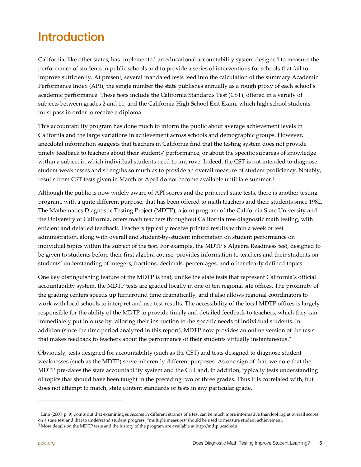# <span id="page-5-0"></span>Introduction

California, like other states, has implemented an educational accountability system designed to measure the performance of students in public schools and to provide a series of interventions for schools that fail to improve sufficiently. At present, several mandated tests feed into the calculation of the summary Academic Performance Index (API), the single number the state publishes annually as a rough proxy of each school's academic performance. These tests include the California Standards Test (CST), offered in a variety of subjects between grades 2 and 11, and the California High School Exit Exam, which high school students must pass in order to receive a diploma.

This accountability program has done much to inform the public about average achievement levels in California and the large variations in achievement across schools and demographic groups. However, anecdotal information suggests that teachers in California find that the testing system does not provide timely feedback to teachers about their students' performance, or about the specific subareas of knowledge within a subject in which individual students need to improve. Indeed, the CST is not intended to diagnose student weaknesses and strengths so much as to provide an overall measure of student proficiency. Notably, results from CST tests given in March or April do not become available until late summer.[1](#page-5-1)

Although the public is now widely aware of API scores and the principal state tests, there is another testing program, with a quite different purpose, that has been offered to math teachers and their students since 1982. The Mathematics Diagnostic Testing Project (MDTP), a joint program of the California State University and the University of California, offers math teachers throughout California free diagnostic math testing, with efficient and detailed feedback. Teachers typically receive printed results within a week of test administration, along with overall and student-by-student information on student performance on individual topics within the subject of the test. For example, the MDTP's Algebra Readiness test, designed to be given to students before their first algebra course, provides information to teachers and their students on students' understanding of integers, fractions, decimals, percentages, and other clearly defined topics.

One key distinguishing feature of the MDTP is that, unlike the state tests that represent California's official accountability system, the MDTP tests are graded locally in one of ten regional site offices. The proximity of the grading centers speeds up turnaround time dramatically, and it also allows regional coordinators to work with local schools to interpret and use test results. The accessibility of the local MDTP offices is largely responsible for the ability of the MDTP to provide timely and detailed feedback to teachers, which they can immediately put into use by tailoring their instruction to the specific needs of individual students. In addition (since the time period analyzed in this report), MDTP now provides an online version of the tests that makes feedback to teachers about the performance of their students virtually instantaneous.<sup>[2](#page-5-2)</sup>

Obviously, tests designed for accountability (such as the CST) and tests designed to diagnose student weaknesses (such as the MDTP) serve inherently different purposes. As one sign of that, we note that the MDTP pre-dates the state accountability system and the CST and, in addition, typically tests understanding of topics that should have been taught in the preceding two or three grades. Thus it is correlated with, but does not attempt to match, state content standards or tests in any particular grade.

-

<span id="page-5-1"></span> $1$  Linn (2000, p. 9) points out that examining subscores in different strands of a test can be much more informative than looking at overall scores on a state test and that to understand student progress, "multiple measures"should be used to measure student achievement.

<span id="page-5-2"></span><sup>2</sup> More details on the MDTP tests and the history of the program are available at http://mdtp.ucsd.edu.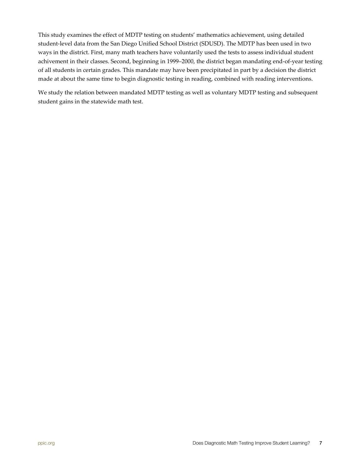This study examines the effect of MDTP testing on students' mathematics achievement, using detailed student-level data from the San Diego Unified School District (SDUSD). The MDTP has been used in two ways in the district. First, many math teachers have voluntarily used the tests to assess individual student achivement in their classes. Second, beginning in 1999–2000, the district began mandating end-of-year testing of all students in certain grades. This mandate may have been precipitated in part by a decision the district made at about the same time to begin diagnostic testing in reading, combined with reading interventions.

We study the relation between mandated MDTP testing as well as voluntary MDTP testing and subsequent student gains in the statewide math test.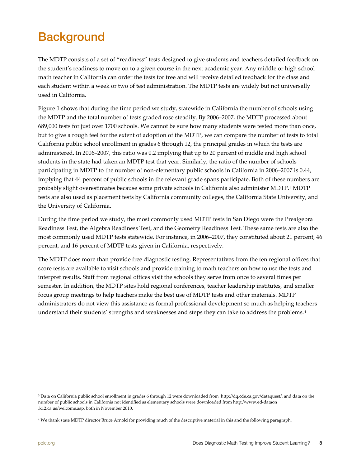# <span id="page-7-0"></span>**Background**

The MDTP consists of a set of "readiness" tests designed to give students and teachers detailed feedback on the student's readiness to move on to a given course in the next academic year. Any middle or high school math teacher in California can order the tests for free and will receive detailed feedback for the class and each student within a week or two of test administration. The MDTP tests are widely but not universally used in California.

Figure 1 shows that during the time period we study, statewide in California the number of schools using the MDTP and the total number of tests graded rose steadily. By 2006–2007, the MDTP processed about 689,000 tests for just over 1700 schools. We cannot be sure how many students were tested more than once, but to give a rough feel for the extent of adoption of the MDTP, we can compare the number of tests to total California public school enrollment in grades 6 through 12, the principal grades in which the tests are administered. In 2006–2007, this ratio was 0.2 implying that up to 20 percent of middle and high school students in the state had taken an MDTP test that year. Similarly, the ratio of the number of schools participating in MDTP to the number of non-elementary public schools in California in 2006–2007 is 0.44, implying that 44 percent of public schools in the relevant grade spans participate. Both of these numbers are probably slight overestimates because some private schools in California also administer MDTP.[3](#page-7-1) MDTP tests are also used as placement tests by California community colleges, the California State University, and the University of California.

During the time period we study, the most commonly used MDTP tests in San Diego were the Prealgebra Readiness Test, the Algebra Readiness Test, and the Geometry Readiness Test. These same tests are also the most commonly used MDTP tests statewide. For instance, in 2006–2007, they constituted about 21 percent, 46 percent, and 16 percent of MDTP tests given in California, respectively.

The MDTP does more than provide free diagnostic testing. Representatives from the ten regional offices that score tests are available to visit schools and provide training to math teachers on how to use the tests and interpret results. Staff from regional offices visit the schools they serve from once to several times per semester. In addition, the MDTP sites hold regional conferences, teacher leadership institutes, and smaller focus group meetings to help teachers make the best use of MDTP tests and other materials. MDTP administrators do not view this assistance as formal professional development so much as helping teachers understand their students' strengths and weaknesses and steps they can take to address the problems.[4](#page-7-2)

l

<span id="page-7-1"></span><sup>3</sup> Data on California public school enrollment in grades 6 through 12 were downloaded from [http://dq.cde.ca.gov/dataquest/,](http://dq.cde.ca.gov/dataquest/) and data on the number of public schools in California not identified as elementary schools were downloaded from http://www.ed-dataon .k12.ca.us/welcome.asp, both in November 2010.

<span id="page-7-2"></span><sup>4</sup> We thank state MDTP director Bruce Arnold for providing much of the descriptive material in this and the following paragraph.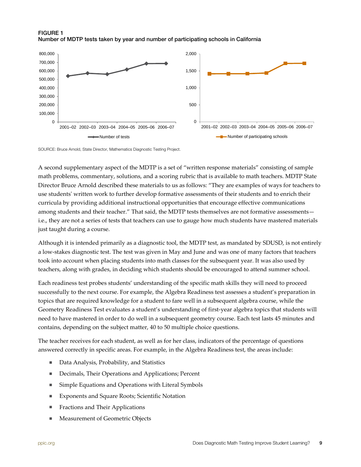<span id="page-8-0"></span>



SOURCE: Bruce Arnold, State Director, Mathematics Diagnostic Testing Project.

A second supplementary aspect of the MDTP is a set of "written response materials" consisting of sample math problems, commentary, solutions, and a scoring rubric that is available to math teachers. MDTP State Director Bruce Arnold described these materials to us as follows: "They are examples of ways for teachers to use students' written work to further develop formative assessments of their students and to enrich their curricula by providing additional instructional opportunities that encourage effective communications among students and their teacher." That said, the MDTP tests themselves are not formative assessments i.e., they are not a series of tests that teachers can use to gauge how much students have mastered materials just taught during a course.

Although it is intended primarily as a diagnostic tool, the MDTP test, as mandated by SDUSD, is not entirely a low-stakes diagnostic test. The test was given in May and June and was one of many factors that teachers took into account when placing students into math classes for the subsequent year. It was also used by teachers, along with grades, in deciding which students should be encouraged to attend summer school.

Each readiness test probes students' understanding of the specific math skills they will need to proceed successfully to the next course. For example, the Algebra Readiness test assesses a student's preparation in topics that are required knowledge for a student to fare well in a subsequent algebra course, while the Geometry Readiness Test evaluates a student's understanding of first-year algebra topics that students will need to have mastered in order to do well in a subsequent geometry course. Each test lasts 45 minutes and contains, depending on the subject matter, 40 to 50 multiple choice questions.

The teacher receives for each student, as well as for her class, indicators of the percentage of questions answered correctly in specific areas. For example, in the Algebra Readiness test, the areas include:

- Data Analysis, Probability, and Statistics
- Decimals, Their Operations and Applications; Percent
- Simple Equations and Operations with Literal Symbols
- Exponents and Square Roots; Scientific Notation
- **Fractions and Their Applications**
- **Measurement of Geometric Objects**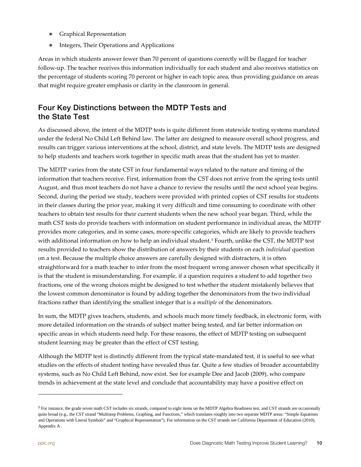- **Graphical Representation**
- Integers, Their Operations and Applications

Areas in which students answer fewer than 70 percent of questions correctly will be flagged for teacher follow-up. The teacher receives this information individually for each student and also receives statistics on the percentage of students scoring 70 percent or higher in each topic area, thus providing guidance on areas that might require greater emphasis or clarity in the classroom in general.

### <span id="page-9-0"></span>Four Key Distinctions between the MDTP Tests and the State Test

As discussed above, the intent of the MDTP tests is quite different from statewide testing systems mandated under the federal No Child Left Behind law. The latter are designed to measure overall school progress, and results can trigger various interventions at the school, district, and state levels. The MDTP tests are designed to help students and teachers work together in specific math areas that the student has yet to master.

The MDTP varies from the state CST in four fundamental ways related to the nature and timing of the information that teachers receive. First, information from the CST does not arrive from the spring tests until August, and thus most teachers do not have a chance to review the results until the next school year begins. Second, during the period we study, teachers were provided with printed copies of CST results for students in their classes during the prior year, making it very difficult and time consuming to coordinate with other teachers to obtain test results for their current students when the new school year began. Third, while the math CST tests do provide teachers with information on student performance in individual areas, the MDTP provides more categories, and in some cases, more-specific categories, which are likely to provide teachers with additional information on how to help an individual student.<sup>[5](#page-9-1)</sup> Fourth, unlike the CST, the MDTP test results provided to teachers show the distribution of answers by their students on each *individual* question on a test. Because the multiple choice answers are carefully designed with distracters, it is often straightforward for a math teacher to infer from the most frequent wrong answer chosen what specifically it is that the student is misunderstanding. For example, if a question requires a student to add together two fractions, one of the wrong choices might be designed to test whether the student mistakenly believes that the lowest common denominator is found by adding together the denominators from the two individual fractions rather than identifying the smallest integer that is a *multiple* of the denominators.

In sum, the MDTP gives teachers, students, and schools much more timely feedback, in electronic form, with more detailed information on the strands of subject matter being tested, and far better information on specific areas in which students need help. For these reasons, the effect of MDTP testing on subsequent student learning may be greater than the effect of CST testing.

Although the MDTP test is distinctly different from the typical state-mandated test, it is useful to see what studies on the effects of student testing have revealed thus far. Quite a few studies of broader accountability systems, such as No Child Left Behind, now exist. See for example Dee and Jacob (2009), who compare trends in achievement at the state level and conclude that accountability may have a positive effect on

l

<span id="page-9-1"></span><sup>&</sup>lt;sup>5</sup> For instance, the grade seven math CST includes six strands, compared to eight items on the MDTP Algebra Readiness test, and CST strands are occasionally quite broad (e.g., the CST strand "Multistep Problems, Graphing, and Functions," which translates roughly into two separate MDTP areas: "Simple Equations and Operations with Literal Symbols" and "Graphical Representation"). For information on the CST strands see California Department of Education (2010), Appendix A .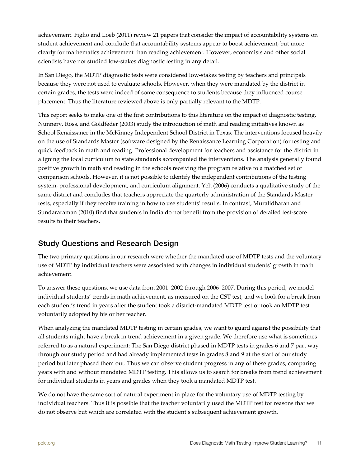achievement. Figlio and Loeb (2011) review 21 papers that consider the impact of accountability systems on student achievement and conclude that accountability systems appear to boost achievement, but more clearly for mathematics achievement than reading achievement. However, economists and other social scientists have not studied low-stakes diagnostic testing in any detail.

In San Diego, the MDTP diagnostic tests were considered low-stakes testing by teachers and principals because they were not used to evaluate schools. However, when they were mandated by the district in certain grades, the tests were indeed of some consequence to students because they influenced course placement. Thus the literature reviewed above is only partially relevant to the MDTP.

This report seeks to make one of the first contributions to this literature on the impact of diagnostic testing. Nunnery, Ross, and Goldfeder (2003) study the introduction of math and reading initiatives known as School Renaissance in the McKinney Independent School District in Texas. The interventions focused heavily on the use of Standards Master (software designed by the Renaissance Learning Corporation) for testing and quick feedback in math and reading. Professional development for teachers and assistance for the district in aligning the local curriculum to state standards accompanied the interventions. The analysis generally found positive growth in math and reading in the schools receiving the program relative to a matched set of comparison schools. However, it is not possible to identify the independent contributions of the testing system, professional development, and curriculum alignment. Yeh (2006) conducts a qualitative study of the same district and concludes that teachers appreciate the quarterly administration of the Standards Master tests, especially if they receive training in how to use students' results. In contrast, Muralidharan and Sundararaman (2010) find that students in India do not benefit from the provision of detailed test-score results to their teachers.

### <span id="page-10-0"></span>Study Questions and Research Design

The two primary questions in our research were whether the mandated use of MDTP tests and the voluntary use of MDTP by individual teachers were associated with changes in individual students' growth in math achievement.

To answer these questions, we use data from 2001–2002 through 2006–2007. During this period, we model individual students' trends in math achievement, as measured on the CST test, and we look for a break from each student's trend in years after the student took a district-mandated MDTP test or took an MDTP test voluntarily adopted by his or her teacher.

When analyzing the mandated MDTP testing in certain grades, we want to guard against the possibility that all students might have a break in trend achievement in a given grade. We therefore use what is sometimes referred to as a natural experiment: The San Diego district phased in MDTP tests in grades 6 and 7 part way through our study period and had already implemented tests in grades 8 and 9 at the start of our study period but later phased them out. Thus we can observe student progress in any of these grades, comparing years with and without mandated MDTP testing. This allows us to search for breaks from trend achievement for individual students in years and grades when they took a mandated MDTP test.

We do not have the same sort of natural experiment in place for the voluntary use of MDTP testing by individual teachers. Thus it is possible that the teacher voluntarily used the MDTP test for reasons that we do not observe but which are correlated with the student's subsequent achievement growth.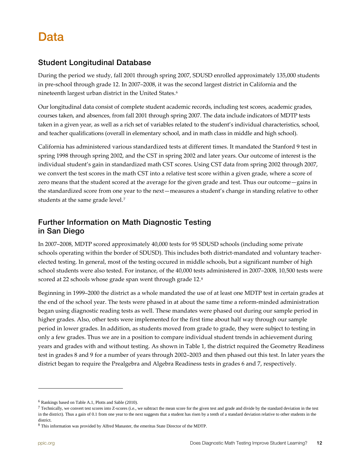# <span id="page-11-0"></span>Data

### <span id="page-11-1"></span>Student Longitudinal Database

During the period we study, fall 2001 through spring 2007, SDUSD enrolled approximately 135,000 students in pre-school through grade 12. In 2007–2008, it was the second largest district in California and the nineteenth largest urban district in the United States.[6](#page-11-3)

Our longitudinal data consist of complete student academic records, including test scores, academic grades, courses taken, and absences, from fall 2001 through spring 2007. The data include indicators of MDTP tests taken in a given year, as well as a rich set of variables related to the student's individual characteristics, school, and teacher qualifications (overall in elementary school, and in math class in middle and high school).

California has administered various standardized tests at different times. It mandated the Stanford 9 test in spring 1998 through spring 2002, and the CST in spring 2002 and later years. Our outcome of interest is the individual student's gain in standardized math CST scores. Using CST data from spring 2002 through 2007, we convert the test scores in the math CST into a relative test score within a given grade, where a score of zero means that the student scored at the average for the given grade and test. Thus our outcome—gains in the standardized score from one year to the next—measures a student's change in standing relative to other students at the same grade level.<sup>7</sup>

### <span id="page-11-2"></span>Further Information on Math Diagnostic Testing in San Diego

In 2007–2008, MDTP scored approximately 40,000 tests for 95 SDUSD schools (including some private schools operating within the border of SDUSD). This includes both district-mandated and voluntary teacherelected testing. In general, most of the testing occured in middle schools, but a significant number of high school students were also tested. For instance, of the 40,000 tests administered in 2007–2008, 10,500 tests were scored at 22 schools whose grade span went through grade 12.<sup>[8](#page-11-5)</sup>

Beginning in 1999–2000 the district as a whole mandated the use of at least one MDTP test in certain grades at the end of the school year. The tests were phased in at about the same time a reform-minded administration began using diagnostic reading tests as well. These mandates were phased out during our sample period in higher grades. Also, other tests were implemented for the first time about half way through our sample period in lower grades. In addition, as students moved from grade to grade, they were subject to testing in only a few grades. Thus we are in a position to compare individual student trends in achievement during years and grades with and without testing. As shown in Table 1, the district required the Geometry Readiness test in grades 8 and 9 for a number of years through 2002–2003 and then phased out this test. In later years the district began to require the Prealgebra and Algebra Readiness tests in grades 6 and 7, respectively.

l

<span id="page-11-3"></span><sup>6</sup> Rankings based on Table A.1, Plotts and Sable (2010).

<span id="page-11-4"></span> $7$  Technically, we convert test scores into Z-scores (i.e., we subtract the mean score for the given test and grade and divide by the standard deviation in the test in the district). Thus a gain of 0.1 from one year to the next suggests that a student has risen by a tenth of a standard deviation relative to other students in the district.

<span id="page-11-5"></span><sup>8</sup> This information was provided by Alfred Manaster, the emeritus State Director of the MDTP.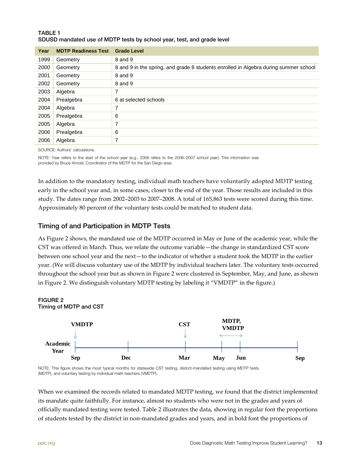<span id="page-12-1"></span>

| <b>TABLE 1</b>                                                         |  |
|------------------------------------------------------------------------|--|
| SDUSD mandated use of MDTP tests by school year, test, and grade level |  |

| Year | <b>MDTP Readiness Test</b> | <b>Grade Level</b>                                                                   |
|------|----------------------------|--------------------------------------------------------------------------------------|
| 1999 | Geometry                   | 8 and 9                                                                              |
| 2000 | Geometry                   | 8 and 9 in the spring, and grade 8 students enrolled in Algebra during summer school |
| 2001 | Geometry                   | 8 and 9                                                                              |
| 2002 | Geometry                   | 8 and 9                                                                              |
| 2003 | Algebra                    | 7                                                                                    |
| 2004 | Prealgebra                 | 6 at selected schools                                                                |
| 2004 | Algebra                    | 7                                                                                    |
| 2005 | Prealgebra                 | 6                                                                                    |
| 2005 | Algebra                    | 7                                                                                    |
| 2006 | Prealgebra                 | 6                                                                                    |
| 2006 | Algebra                    | 7                                                                                    |

SOURCE: Authors' calculations.

NOTE: Year refers to the start of the school year (e.g., 2006 refers to the 2006–2007 school year). This information was provided by Bruce Arnold, Coordinator of the MDTP for the San Diego area.

In addition to the mandatory testing, individual math teachers have voluntarily adopted MDTP testing early in the school year and, in some cases, closer to the end of the year. Those results are included in this study. The dates range from 2002–2003 to 2007–2008. A total of 165,863 tests were scored during this time. Approximately 80 percent of the voluntary tests could be matched to student data.

#### Timing of and Participation in MDTP Tests

As Figure 2 shows, the mandated use of the MDTP occurred in May or June of the academic year, while the CST was offered in March. Thus, we relate the outcome variable—the change in standardized CST score between one school year and the next—to the indicator of whether a student took the MDTP in the earlier year. (We will discuss voluntary use of the MDTP by individual teachers later. The voluntary tests occurred throughout the school year but as shown in Figure 2 were clustered in September, May, and June, as shown in Figure 2. We distinguish voluntary MDTP testing by labeling it "VMDTP" in the figure.)

<span id="page-12-0"></span>



NOTE: This figure shows the most typical months for statewide CST testing, district-mandated testing using MDTP tests (MDTP), and voluntary testing by individual math teachers (VMDTP).

When we examined the records related to mandated MDTP testing, we found that the district implemented its mandate quite faithfully. For instance, almost no students who were not in the grades and years of officially mandated testing were tested. Table 2 illustrates the data, showing in regular font the proportions of students tested by the district in non-mandated grades and years, and in bold font the proportions of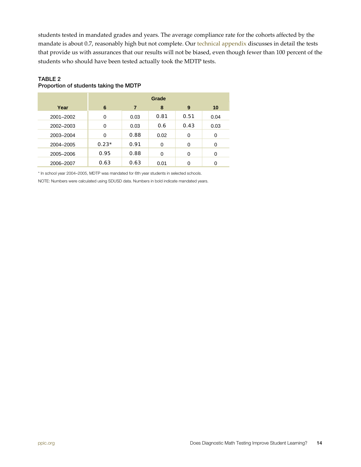students tested in mandated grades and years. The average compliance rate for the cohorts affected by the mandate is about 0.7, reasonably high but not complete. Our [technical appendix](http://www.ppic.org/content/pubs/other/1011JBR_appendix.pdf) discusses in detail the tests that provide us with assurances that our results will not be biased, even though fewer than 100 percent of the students who should have been tested actually took the MDTP tests.

|           | Grade   |      |          |      |      |
|-----------|---------|------|----------|------|------|
| Year      | 6       | 7    | 8        | 9    | 10   |
| 2001-2002 | 0       | 0.03 | 0.81     | 0.51 | 0.04 |
| 2002-2003 | 0       | 0.03 | 0.6      | 0.43 | 0.03 |
| 2003-2004 | 0       | 0.88 | 0.02     | 0    | 0    |
| 2004-2005 | $0.23*$ | 0.91 | $\Omega$ | 0    | 0    |
| 2005-2006 | 0.95    | 0.88 | 0        | 0    | 0    |
| 2006-2007 | 0.63    | 0.63 | 0.01     | 0    | 0    |

#### <span id="page-13-0"></span>TABLE 2 Proportion of students taking the MDTP

\* In school year 2004–2005, MDTP was mandated for 6th year students in selected schools.

NOTE: Numbers were calculated using SDUSD data. Numbers in bold indicate mandated years.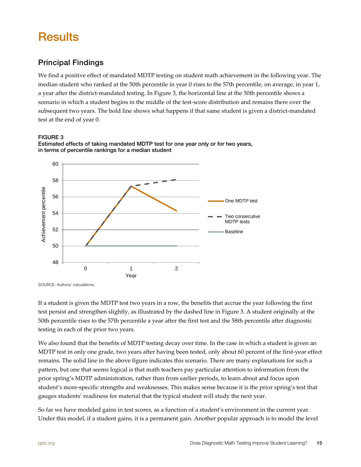# <span id="page-14-0"></span>**Results**

### <span id="page-14-1"></span>Principal Findings

We find a positive effect of mandated MDTP testing on student math achievement in the following year. The median student who ranked at the 50th percentile in year 0 rises to the 57th percentile, on average, in year 1, a year after the district-mandated testing. In Figure 3, the horizontal line at the 50th percentile shows a scenario in which a student begins in the middle of the test-score distribution and remains there over the subsequent two years. The bold line shows what happens if that same student is given a district-mandated test at the end of year 0.

#### <span id="page-14-2"></span>FIGURE 3





SOURCE: Authors' calculations.

If a student is given the MDTP test two years in a row, the benefits that accrue the year following the first test persist and strengthen slightly, as illustrated by the dashed line in Figure 3. A student originally at the 50th percentile rises to the 57th percentile a year after the first test and the 58th percentile after diagnostic testing in each of the prior two years.

We also found that the benefits of MDTP testing decay over time. In the case in which a student is given an MDTP test in only one grade, two years after having been tested, only about 60 percent of the first-year effect remains. The solid line in the above figure indicates this scenario. There are many explanations for such a pattern, but one that seems logical is that math teachers pay particular attention to information from the prior spring's MDTP administration, rather than from earlier periods, to learn about and focus upon student's more-specific strengths and weaknesses. This makes sense because it is the prior spring's test that gauges students' readiness for material that the typical student will study the next year.

So far we have modeled gains in test scores, as a function of a student's environment in the current year. Under this model, if a student gains, it is a permanent gain. Another popular approach is to model the level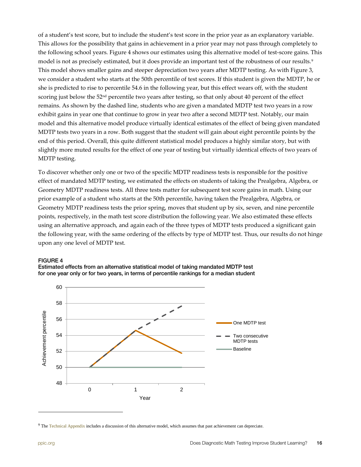of a student's test score, but to include the student's test score in the prior year as an explanatory variable. This allows for the possibility that gains in achievement in a prior year may not pass through completely to the following school years. Figure 4 shows our estimates using this alternative model of test-score gains. This model is not as precisely estimated, but it does provide an important test of the robustness of our results.[9](#page-15-1) This model shows smaller gains and steeper depreciation two years after MDTP testing. As with Figure 3, we consider a student who starts at the 50th percentile of test scores. If this student is given the MDTP, he or she is predicted to rise to percentile 54.6 in the following year, but this effect wears off, with the student scoring just below the 52<sup>nd</sup> percentile two years after testing, so that only about 40 percent of the effect remains. As shown by the dashed line, students who are given a mandated MDTP test two years in a row exhibit gains in year one that continue to grow in year two after a second MDTP test. Notably, our main model and this alternative model produce virtually identical estimates of the effect of being given mandated MDTP tests two years in a row. Both suggest that the student will gain about eight percentile points by the end of this period. Overall, this quite different statistical model produces a highly similar story, but with slightly more muted results for the effect of one year of testing but virtually identical effects of two years of MDTP testing.

To discover whether only one or two of the specific MDTP readiness tests is responsible for the positive effect of mandated MDTP testing, we estimated the effects on students of taking the Prealgebra, Algebra, or Geometry MDTP readiness tests. All three tests matter for subsequent test score gains in math. Using our prior example of a student who starts at the 50th percentile, having taken the Prealgebra, Algebra, or Geometry MDTP readiness tests the prior spring, moves that student up by six, seven, and nine percentile points, respectively, in the math test score distribution the following year. We also estimated these effects using an alternative approach, and again each of the three types of MDTP tests produced a significant gain the following year, with the same ordering of the effects by type of MDTP test. Thus, our results do not hinge upon any one level of MDTP test.

#### <span id="page-15-0"></span>FIGURE 4



Estimated effects from an alternative statistical model of taking mandated MDTP test for one year only or for two years, in terms of percentile rankings for a median student

<span id="page-15-1"></span><sup>&</sup>lt;sup>9</sup> The [Technical Appendix](http://www.ppic.org/content/pubs/other/1011JBR_appendix.pdf) includes a discussion of this alternative model, which assumes that past achievement can depreciate.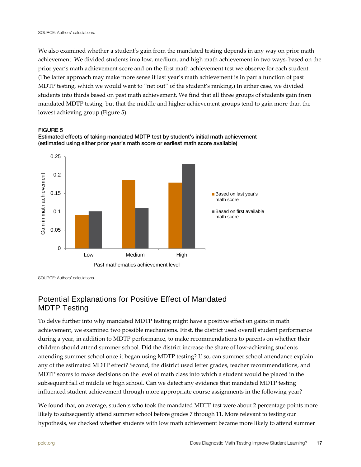We also examined whether a student's gain from the mandated testing depends in any way on prior math achievement. We divided students into low, medium, and high math achievement in two ways, based on the prior year's math achievement score and on the first math achievement test we observe for each student. (The latter approach may make more sense if last year's math achievement is in part a function of past MDTP testing, which we would want to "net out" of the student's ranking.) In either case, we divided students into thirds based on past math achievement. We find that all three groups of students gain from mandated MDTP testing, but that the middle and higher achievement groups tend to gain more than the lowest achieving group (Figure 5).

<span id="page-16-1"></span>



Estimated effects of taking mandated MDTP test by student's initial math achievement (estimated using either prior year's math score or earliest math score available)

SOURCE: Authors' calculations.

### <span id="page-16-0"></span>Potential Explanations for Positive Effect of Mandated MDTP Testing

To delve further into why mandated MDTP testing might have a positive effect on gains in math achievement, we examined two possible mechanisms. First, the district used overall student performance during a year, in addition to MDTP performance, to make recommendations to parents on whether their children should attend summer school. Did the district increase the share of low-achieving students attending summer school once it began using MDTP testing? If so, can summer school attendance explain any of the estimated MDTP effect? Second, the district used letter grades, teacher recommendations, and MDTP scores to make decisions on the level of math class into which a student would be placed in the subsequent fall of middle or high school. Can we detect any evidence that mandated MDTP testing influenced student achievement through more appropriate course assignments in the following year?

We found that, on average, students who took the mandated MDTP test were about 2 percentage points more likely to subsequently attend summer school before grades 7 through 11. More relevant to testing our hypothesis, we checked whether students with low math achievement became more likely to attend summer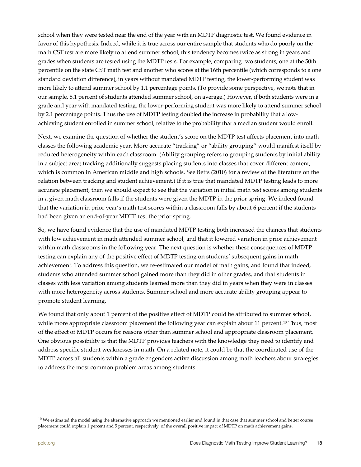school when they were tested near the end of the year with an MDTP diagnostic test. We found evidence in favor of this hypothesis. Indeed, while it is true across our entire sample that students who do poorly on the math CST test are more likely to attend summer school, this tendency becomes twice as strong in years and grades when students are tested using the MDTP tests. For example, comparing two students, one at the 50th percentile on the state CST math test and another who scores at the 16th percentile (which corresponds to a one standard deviation difference), in years without mandated MDTP testing, the lower-performing student was more likely to attend summer school by 1.1 percentage points. (To provide some perspective, we note that in our sample, 8.1 percent of students attended summer school, on average.) However, if both students were in a grade and year with mandated testing, the lower-performing student was more likely to attend summer school by 2.1 percentage points. Thus the use of MDTP testing doubled the increase in probability that a lowachieving student enrolled in summer school, relative to the probability that a median student would enroll.

Next, we examine the question of whether the student's score on the MDTP test affects placement into math classes the following academic year. More accurate "tracking" or "ability grouping" would manifest itself by reduced heterogeneity within each classroom. (Ability grouping refers to grouping students by initial ability in a subject area; tracking additionally suggests placing students into classes that cover different content, which is common in American middle and high schools. See Betts (2010) for a review of the literature on the relation between tracking and student achievement.) If it is true that mandated MDTP testing leads to more accurate placement, then we should expect to see that the variation in initial math test scores among students in a given math classroom falls if the students were given the MDTP in the prior spring. We indeed found that the variation in prior year's math test scores within a classroom falls by about 6 percent if the students had been given an end-of-year MDTP test the prior spring.

So, we have found evidence that the use of mandated MDTP testing both increased the chances that students with low achievement in math attended summer school, and that it lowered variation in prior achievement within math classrooms in the following year. The next question is whether these consequences of MDTP testing can explain any of the positive effect of MDTP testing on students' subsequent gains in math achievement. To address this question, we re-estimated our model of math gains, and found that indeed, students who attended summer school gained more than they did in other grades, and that students in classes with less variation among students learned more than they did in years when they were in classes with more heterogeneity across students. Summer school and more accurate ability grouping appear to promote student learning.

We found that only about 1 percent of the positive effect of MDTP could be attributed to summer school, while more appropriate classroom placement the following year can explain about 11 percent.<sup>[10](#page-17-1)</sup> Thus, most of the effect of MDTP occurs for reasons other than summer school and appropriate classroom placement. One obvious possibility is that the MDTP provides teachers with the knowledge they need to identify and address specific student weaknesses in math. On a related note, it could be that the coordinated use of the MDTP across all students within a grade engenders active discussion among math teachers about strategies to address the most common problem areas among students.

<span id="page-17-0"></span>l

<span id="page-17-1"></span> $10$  We estimated the model using the alternative approach we mentioned earlier and found in that case that summer school and better course placement could explain 1 percent and 5 percent, respectively, of the overall positive impact of MDTP on math achievement gains.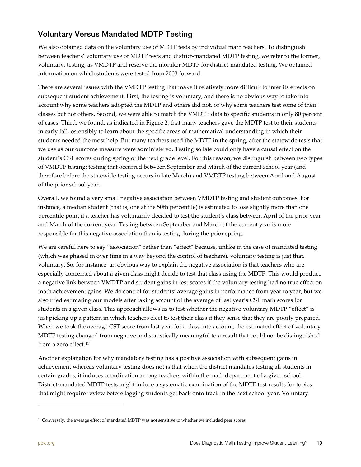### Voluntary Versus Mandated MDTP Testing

We also obtained data on the voluntary use of MDTP tests by individual math teachers. To distinguish between teachers' voluntary use of MDTP tests and district-mandated MDTP testing, we refer to the former, voluntary, testing, as VMDTP and reserve the moniker MDTP for district-mandated testing. We obtained information on which students were tested from 2003 forward.

There are several issues with the VMDTP testing that make it relatively more difficult to infer its effects on subsequent student achievement. First, the testing is voluntary, and there is no obvious way to take into account why some teachers adopted the MDTP and others did not, or why some teachers test some of their classes but not others. Second, we were able to match the VMDTP data to specific students in only 80 percent of cases. Third, we found, as indicated in Figure 2, that many teachers gave the MDTP test to their students in early fall, ostensibly to learn about the specific areas of mathematical understanding in which their students needed the most help. But many teachers used the MDTP in the spring, after the statewide tests that we use as our outcome measure were administered. Testing so late could only have a causal effect on the student's CST scores during spring of the next grade level. For this reason, we distinguish between two types of VMDTP testing: testing that occurred between September and March of the current school year (and therefore before the statewide testing occurs in late March) and VMDTP testing between April and August of the prior school year.

Overall, we found a very small negative association between VMDTP testing and student outcomes. For instance, a median student (that is, one at the 50th percentile) is estimated to lose slightly more than one percentile point if a teacher has voluntarily decided to test the student's class between April of the prior year and March of the current year. Testing between September and March of the current year is more responsible for this negative association than is testing during the prior spring.

We are careful here to say "association" rather than "effect" because, unlike in the case of mandated testing (which was phased in over time in a way beyond the control of teachers), voluntary testing is just that, voluntary. So, for instance, an obvious way to explain the negative association is that teachers who are especially concerned about a given class might decide to test that class using the MDTP. This would produce a negative link between VMDTP and student gains in test scores if the voluntary testing had no true effect on math achievement gains. We do control for students' average gains in performance from year to year, but we also tried estimating our models after taking account of the average of last year's CST math scores for students in a given class. This approach allows us to test whether the negative voluntary MDTP "effect" is just picking up a pattern in which teachers elect to test their class if they sense that they are poorly prepared. When we took the average CST score from last year for a class into account, the estimated effect of voluntary MDTP testing changed from negative and statistically meaningful to a result that could not be distinguished from a zero effect.<sup>[11](#page-18-0)</sup>

Another explanation for why mandatory testing has a positive association with subsequent gains in achievement whereas voluntary testing does not is that when the district mandates testing all students in certain grades, it induces coordination among teachers within the math department of a given school. District-mandated MDTP tests might induce a systematic examination of the MDTP test results for topics that might require review before lagging students get back onto track in the next school year. Voluntary

l

<span id="page-18-0"></span><sup>&</sup>lt;sup>11</sup> Conversely, the average effect of mandated MDTP was not sensitive to whether we included peer scores.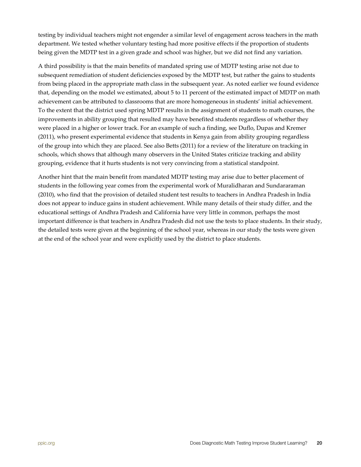testing by individual teachers might not engender a similar level of engagement across teachers in the math department. We tested whether voluntary testing had more positive effects if the proportion of students being given the MDTP test in a given grade and school was higher, but we did not find any variation.

A third possibility is that the main benefits of mandated spring use of MDTP testing arise not due to subsequent remediation of student deficiencies exposed by the MDTP test, but rather the gains to students from being placed in the appropriate math class in the subsequent year. As noted earlier we found evidence that, depending on the model we estimated, about 5 to 11 percent of the estimated impact of MDTP on math achievement can be attributed to classrooms that are more homogeneous in students' initial achievement. To the extent that the district used spring MDTP results in the assignment of students to math courses, the improvements in ability grouping that resulted may have benefited students regardless of whether they were placed in a higher or lower track. For an example of such a finding, see Duflo, Dupas and Kremer (2011), who present experimental evidence that students in Kenya gain from ability grouping regardless of the group into which they are placed. See also Betts (2011) for a review of the literature on tracking in schools, which shows that although many observers in the United States criticize tracking and ability grouping, evidence that it hurts students is not very convincing from a statistical standpoint.

Another hint that the main benefit from mandated MDTP testing may arise due to better placement of students in the following year comes from the experimental work of Muralidharan and Sundararaman (2010), who find that the provision of detailed student test results to teachers in Andhra Pradesh in India does not appear to induce gains in student achievement. While many details of their study differ, and the educational settings of Andhra Pradesh and California have very little in common, perhaps the most important difference is that teachers in Andhra Pradesh did not use the tests to place students. In their study, the detailed tests were given at the beginning of the school year, whereas in our study the tests were given at the end of the school year and were explicitly used by the district to place students.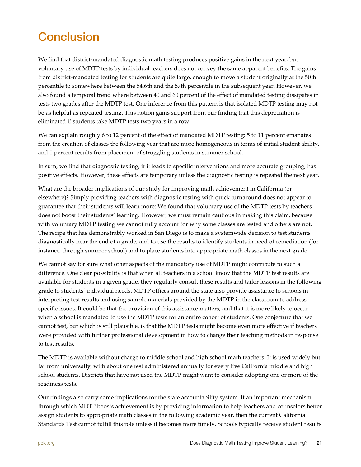# <span id="page-20-0"></span>**Conclusion**

We find that district-mandated diagnostic math testing produces positive gains in the next year, but voluntary use of MDTP tests by individual teachers does not convey the same apparent benefits. The gains from district-mandated testing for students are quite large, enough to move a student originally at the 50th percentile to somewhere between the 54.6th and the 57th percentile in the subsequent year. However, we also found a temporal trend where between 40 and 60 percent of the effect of mandated testing dissipates in tests two grades after the MDTP test. One inference from this pattern is that isolated MDTP testing may not be as helpful as repeated testing. This notion gains support from our finding that this depreciation is eliminated if students take MDTP tests two years in a row.

We can explain roughly 6 to 12 percent of the effect of mandated MDTP testing: 5 to 11 percent emanates from the creation of classes the following year that are more homogeneous in terms of initial student ability, and 1 percent results from placement of struggling students in summer school.

In sum, we find that diagnostic testing, if it leads to specific interventions and more accurate grouping, has positive effects. However, these effects are temporary unless the diagnostic testing is repeated the next year.

What are the broader implications of our study for improving math achievement in California (or elsewhere)? Simply providing teachers with diagnostic testing with quick turnaround does not appear to guarantee that their students will learn more: We found that voluntary use of the MDTP tests by teachers does not boost their students' learning. However, we must remain cautious in making this claim, because with voluntary MDTP testing we cannot fully account for why some classes are tested and others are not. The recipe that has demonstrably worked in San Diego is to make a systemwide decision to test students diagnostically near the end of a grade, and to use the results to identify students in need of remediation (for instance, through summer school) and to place students into appropriate math classes in the next grade.

We cannot say for sure what other aspects of the mandatory use of MDTP might contribute to such a difference. One clear possibility is that when all teachers in a school know that the MDTP test results are available for students in a given grade, they regularly consult these results and tailor lessons in the following grade to students' individual needs. MDTP offices around the state also provide assistance to schools in interpreting test results and using sample materials provided by the MDTP in the classroom to address specific issues. It could be that the provision of this assistance matters, and that it is more likely to occur when a school is mandated to use the MDTP tests for an entire cohort of students. One conjecture that we cannot test, but which is still plausible, is that the MDTP tests might become even more effective if teachers were provided with further professional development in how to change their teaching methods in response to test results.

The MDTP is available without charge to middle school and high school math teachers. It is used widely but far from universally, with about one test administered annually for every five California middle and high school students. Districts that have not used the MDTP might want to consider adopting one or more of the readiness tests.

Our findings also carry some implications for the state accountability system. If an important mechanism through which MDTP boosts achievement is by providing information to help teachers and counselors better assign students to appropriate math classes in the following academic year, then the current California Standards Test cannot fulfill this role unless it becomes more timely. Schools typically receive student results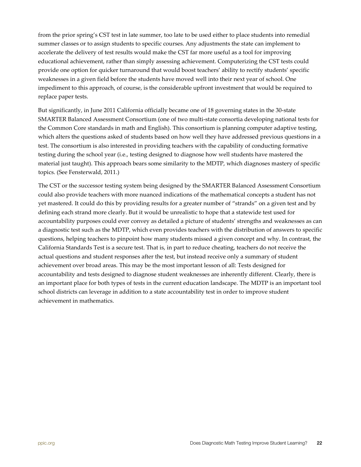from the prior spring's CST test in late summer, too late to be used either to place students into remedial summer classes or to assign students to specific courses. Any adjustments the state can implement to accelerate the delivery of test results would make the CST far more useful as a tool for improving educational achievement, rather than simply assessing achievement. Computerizing the CST tests could provide one option for quicker turnaround that would boost teachers' ability to rectify students' specific weaknesses in a given field before the students have moved well into their next year of school. One impediment to this approach, of course, is the considerable upfront investment that would be required to replace paper tests.

But significantly, in June 2011 California officially became one of 18 governing states in the 30-state SMARTER Balanced Assessment Consortium (one of two multi-state consortia developing national tests for the Common Core standards in math and English). This consortium is planning computer adaptive testing, which alters the questions asked of students based on how well they have addressed previous questions in a test. The consortium is also interested in providing teachers with the capability of conducting formative testing during the school year (i.e., testing designed to diagnose how well students have mastered the material just taught). This approach bears some similarity to the MDTP, which diagnoses mastery of specific topics. (See Fensterwald, 2011.)

The CST or the successor testing system being designed by the SMARTER Balanced Assessment Consortium could also provide teachers with more nuanced indications of the mathematical concepts a student has not yet mastered. It could do this by providing results for a greater number of "strands" on a given test and by defining each strand more clearly. But it would be unrealistic to hope that a statewide test used for accountability purposes could ever convey as detailed a picture of students' strengths and weaknesses as can a diagnostic test such as the MDTP, which even provides teachers with the distribution of answers to specific questions, helping teachers to pinpoint how many students missed a given concept and why. In contrast, the California Standards Test is a secure test. That is, in part to reduce cheating, teachers do not receive the actual questions and student responses after the test, but instead receive only a summary of student achievement over broad areas. This may be the most important lesson of all: Tests designed for accountability and tests designed to diagnose student weaknesses are inherently different. Clearly, there is an important place for both types of tests in the current education landscape. The MDTP is an important tool school districts can leverage in addition to a state accountability test in order to improve student achievement in mathematics.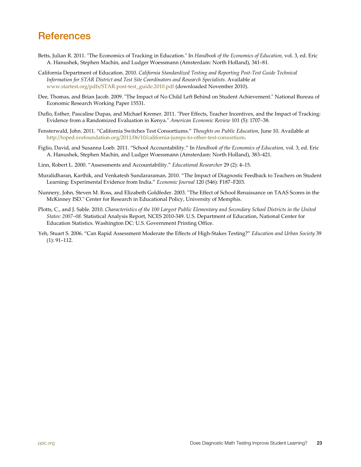## <span id="page-22-0"></span>**References**

- Betts, Julian R. 2011. "The Economics of Tracking in Education." In *Handbook of the Economics of Education,* vol. 3, ed. Eric A. Hanushek, Stephen Machin, and Ludger Woessmann (Amsterdam: North Holland), 341–81.
- California Department of Education. 2010. *California Standardized Testing and Reporting Post-Test Guide Technical Information for STAR District and Test Site Coordinators and Research Specialists*. Available at [www.startest.org/pdfs/STAR.post-test\\_guide.2010.pdf](http://www.startest.org/pdfs/STAR.post-test_guide.2010.pdf) (downloaded November 2010).
- Dee, Thomas, and Brian Jacob. 2009. "The Impact of No Child Left Behind on Student Achievement." National Bureau of Economic Research Working Paper 15531.
- Duflo, Esther, Pascaline Dupas, and Michael Kremer. 2011. "Peer Effects, Teacher Incentives, and the Impact of Tracking: Evidence from a Randomized Evaluation in Kenya." *American Economic Review* 101 (5): 1707–38.
- Fensterwald, John. 2011. "California Switches Test Consortiums." *Thoughts on Public Education,* June 10. Available at [http://toped.svefoundation.org/2011/06/10/california-jumps-to-other-test-consortium.](http://toped.svefoundation.org/2011/06/10/california-jumps-to-other-test-consortium/)
- Figlio, David, and Susanna Loeb. 2011. "School Accountability." In *Handbook of the Economics of Education,* vol. 3, ed. Eric A. Hanushek, Stephen Machin, and Ludger Woessmann (Amsterdam: North Holland), 383–421.
- Linn, Robert L. 2000. "Assessments and Accountability." *Educational Researcher* 29 (2): 4–15.
- Muralidharan, Karthik, and Venkatesh Sundararaman. 2010. "The Impact of Diagnostic Feedback to Teachers on Student Learning: Experimental Evidence from India." *Economic Journal* 120 (546): F187–F203.
- Nunnery, John, Steven M. Ross, and Elizabeth Goldfeder. 2003. "The Effect of School Renaissance on TAAS Scores in the McKinney ISD." Center for Research in Educational Policy, University of Memphis.
- Plotts, C., and J. Sable. 2010. *Characteristics of the 100 Largest Public Elementary and Secondary School Districts in the United States: 2007–08*. Statistical Analysis Report, NCES 2010-349. U.S. Department of Education, National Center for Education Statistics. Washington DC: U.S. Government Printing Office.
- Yeh, Stuart S. 2006. "Can Rapid Assessment Moderate the Effects of High-Stakes Testing?" *Education and Urban Society* 39 (1): 91–112.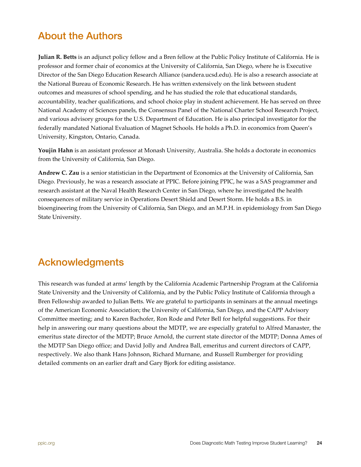## <span id="page-23-0"></span>About the Authors

**Julian R. Betts** is an adjunct policy fellow and a Bren fellow at the Public Policy Institute of California. He is professor and former chair of economics at the University of California, San Diego, where he is Executive Director of the San Diego Education Research Alliance (sandera.ucsd.edu). He is also a research associate at the National Bureau of Economic Research. He has written extensively on the link between student outcomes and measures of school spending, and he has studied the role that educational standards, accountability, teacher qualifications, and school choice play in student achievement. He has served on three National Academy of Sciences panels, the Consensus Panel of the National Charter School Research Project, and various advisory groups for the U.S. Department of Education. He is also principal investigator for the federally mandated National Evaluation of Magnet Schools. He holds a Ph.D. in economics from Queen's University, Kingston, Ontario, Canada.

**Youjin Hahn** is an assistant professor at Monash University, Australia. She holds a doctorate in economics from the University of California, San Diego.

**Andrew C. Zau** is a senior statistician in the Department of Economics at the University of California, San Diego. Previously, he was a research associate at PPIC. Before joining PPIC, he was a SAS programmer and research assistant at the Naval Health Research Center in San Diego, where he investigated the health consequences of military service in Operations Desert Shield and Desert Storm. He holds a B.S. in bioengineering from the University of California, San Diego, and an M.P.H. in epidemiology from San Diego State University.

## <span id="page-23-1"></span>Acknowledgments

This research was funded at arms' length by the California Academic Partnership Program at the California State University and the University of California, and by the Public Policy Institute of California through a Bren Fellowship awarded to Julian Betts. We are grateful to participants in seminars at the annual meetings of the American Economic Association; the University of California, San Diego, and the CAPP Advisory Committee meeting; and to Karen Bachofer, Ron Rode and Peter Bell for helpful suggestions. For their help in answering our many questions about the MDTP, we are especially grateful to Alfred Manaster, the emeritus state director of the MDTP; Bruce Arnold, the current state director of the MDTP; Donna Ames of the MDTP San Diego office; and David Jolly and Andrea Ball, emeritus and current directors of CAPP, respectively. We also thank Hans Johnson, Richard Murnane, and Russell Rumberger for providing detailed comments on an earlier draft and Gary Bjork for editing assistance.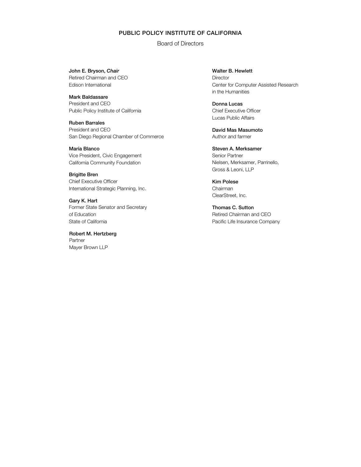#### PUBLIC POLICY INSTITUTE OF CALIFORNIA

Board of Directors

John E. Bryson, Chair Retired Chairman and CEO Edison International

Mark Baldassare President and CEO Public Policy Institute of California

Ruben Barrales President and CEO San Diego Regional Chamber of Commerce

María Blanco Vice President, Civic Engagement California Community Foundation

Brigitte Bren Chief Executive Officer International Strategic Planning, Inc.

Gary K. Hart Former State Senator and Secretary of Education State of California

Robert M. Hertzberg Partner Mayer Brown LLP

Walter B. Hewlett **Director** Center for Computer Assisted Research in the Humanities

Donna Lucas Chief Executive Officer Lucas Public Affairs

David Mas Masumoto Author and farmer

Steven A. Merksamer Senior Partner Nielsen, Merksamer, Parrinello, Gross & Leoni, LLP

Kim Polese Chairman ClearStreet, Inc.

Thomas C. Sutton Retired Chairman and CEO Pacific Life Insurance Company